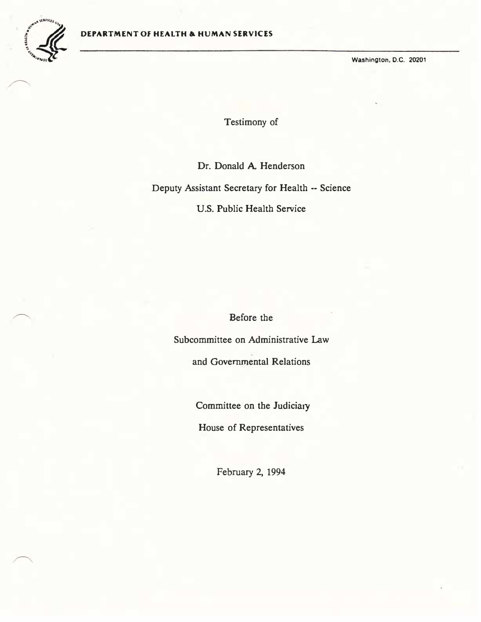

Washington, O.C. 20201

Testimony of

Dr. Donald A Henderson Deputy Assistant Secretary for Health -- Science U.S. Public Health Service

Before the

Subcommittee on Administrative Law

and Governmental Relations

Committee on the Judiciary

House of Representatives

February 2, 1994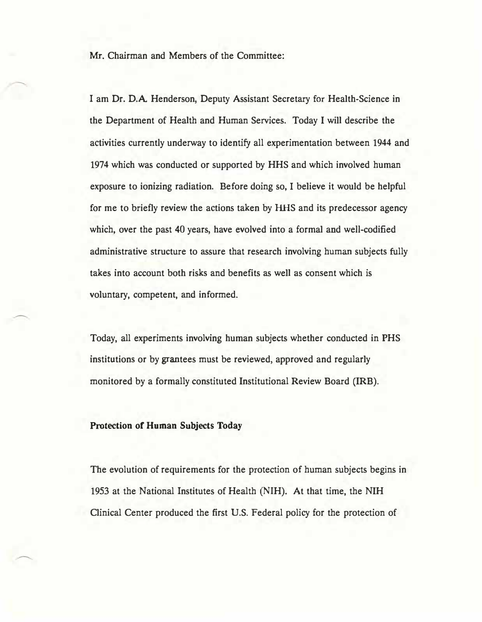Mr. Chairman and Members of the Committee:

I am Dr. D.A. Henderson, Deputy Assistant Secretary for Health-Science in the Department of Health and Human Services. Today I will describe the activities currently underway to identify all experimentation between 1944 and 1974 which was conducted or supported by HHS and which involved human exposure to ionizing radiation. Before doing so, I believe it would be helpful for me to briefly review the actions taken by HHS and its predecessor agency which, over the past 40 years, have evolved into a formal and well-codified administrative structure to assure that research involving human subjects fully takes into account both risks and benefits as well as consent which is voluntary, competent, and informed.

Today, all experiments involving human subjects whether conducted in PHS institutions or by grantees must be reviewed, approved and regularly monitored by a formally constituted Institutional Review Board (IRB).

## Protection of Human Subjects Today

The evolution of requirements for the protection of human subjects begins in 1953 at the National Institutes of Health (NIH). At that time, the NIH Clinical Center produced the first U.S. Federal policy for the protection of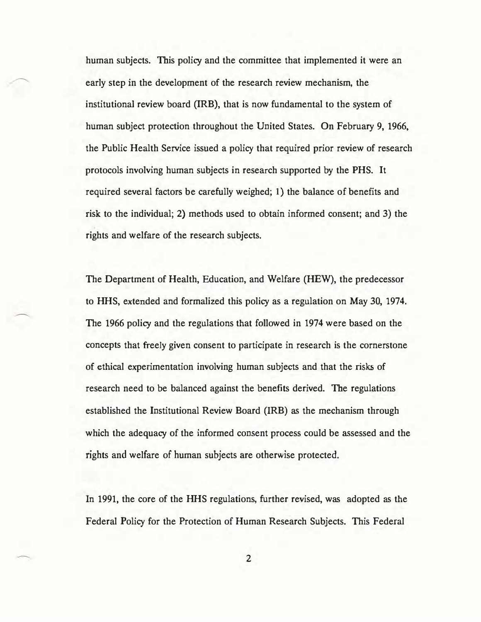human subjects. This policy and the committee that implemented it were an early step in the development of the research review mechanism, the institutional review board (IRB), that is now fundamental to the system of human subject protection throughout the United States. On February 9, 1966, the Public Health Service issued a policy that required prior review of research protocols involving human subjects in research supported by the PHS. It required several factors be carefully weighed; 1) the balance of benefits and risk to the individual; 2) methods used to obtain informed consent; and 3) the rights and welfare of the research subjects.

The Department of Health, Education, and Welfare (HEW), the predecessor to HHS, extended and formalized this policy as a regulation on May 30, 1974. The 1966 policy and the regulations that followed in 1974 were based on the concepts that freely given consent to participate in research is the cornerstone of ethical experimentation involving human subjects and that the risks of research need to be balanced against the benefits derived. The regulations established the Institutional Review Board (IRB) as the mechanism through which the adequacy of the informed consent process could be assessed and the rights and welfare of human subjects are otherwise protected.

In 1991, the core of the HHS regulations, further revised, was adopted as the Federal Policy for the Protection of Human Research Subjects. This Federal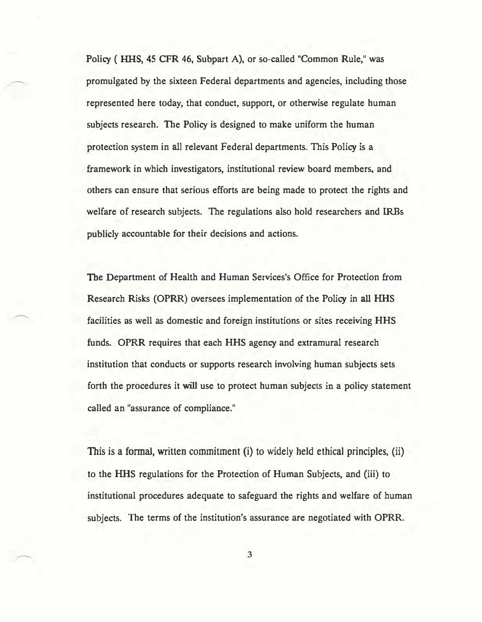Policy ( HHS, 45 CFR 46, Subpart A), or so-called "Common Rule,'' was promulgated by the sixteen Federal departments and agencies, including those represented here today, that conduct, support, or otherwise regulate human subjects research. The Policy is designed to make uniform the human protection system in all relevant Federal departments. This Policy is a framework in which investigators, institutional review board members, and others can ensure that serious efforts are being made to protect the rights and welfare of research subjects. The regulations also hold researchers and IRBs publicly accountable for their decisions and actions.

The Department of Health and Human Services's Office for Protection from Research Risks (OPRR) oversees implementation of the Policy in all HHS facilities as well as domestic and foreign institutions or sites receiving HHS funds. OPRR requires that each HHS agency and extramural research institution that conducts or supports research involving human subjects sets forth the procedures it will use to protect human subjects in a policy statement called an "assurance of compliance."

This is a formal, written commitment (i) to widely held ethical principles, (ii) to the HHS regulations for the Protection of Human Subjects, and (iii) to institutional procedures adequate to safeguard the rights and welfare of human subjects. The terms of the institution's assurance are negotiated with OPRR.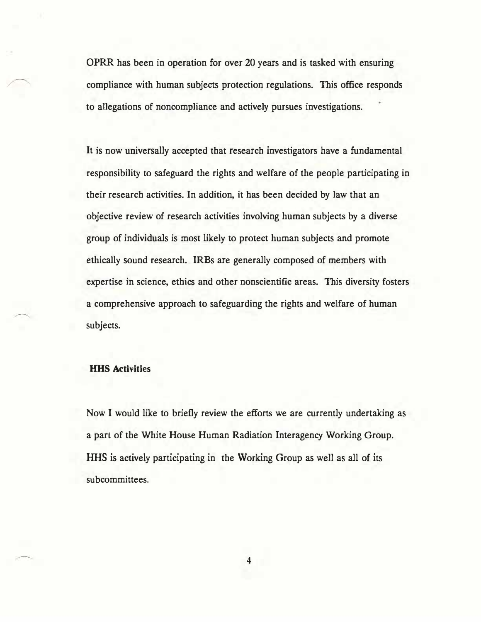OPRR has been in operation for over 20 years and is tasked with ensuring compliance with human subjects protection regulations. This office responds to allegations of noncompliance and actively pursues investigations.

It is now universally accepted that research investigators have a fundamental responsibility to safeguard the rights and welfare of the people participating in their research activities. In addition, it has been decided by law that an objective review of research activities involving human subjects by a diverse group of individuals is most likely to protect human subjects and promote ethically sound research. IRBs are generally composed of members with expertise in science, ethics and other nonscientific areas. This diversity fosters a comprehensive approach to safeguarding the rights and welfare of human subjects.

## HHS Activities

Now I would like to briefly review the efforts we are currently undertaking as a part of the White House Human Radiation Interagency Working Group. HHS is actively participating in the Working Group as well as all of its subcommittees.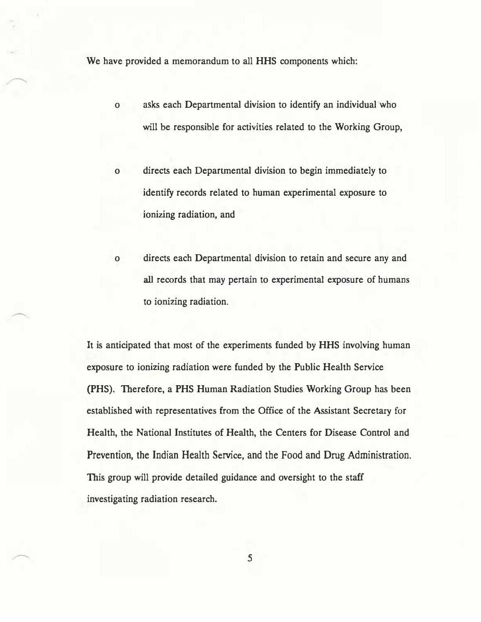We have provided a memorandum to all HHS components which:

- o asks each Departmental division to identify an individual �who will be responsible for activities related to the Working Group,
- o directs each Departmental division to begin immediately to identify records related to human experimental exposure to ionizing radiation, and
- o directs each Departmental division to retain and secure any and all records that may pertain to experimental exposure of humans to ionizing radiation.

It is anticipated that most of the experiments funded by HHS involving human exposure to ionizing radiation were funded by the Public Health Service (PHS). Therefore, a PHS Human Radiation Studies Working Group has been established with representatives from the Office of the Assistant Secretary for Health, the National Institutes of Health, the Centers for Disease Control and Prevention, the Indian Health Service, and the Food and Drug Administration. This group will provide detailed guidance and oversight to the staff investigating radiation research.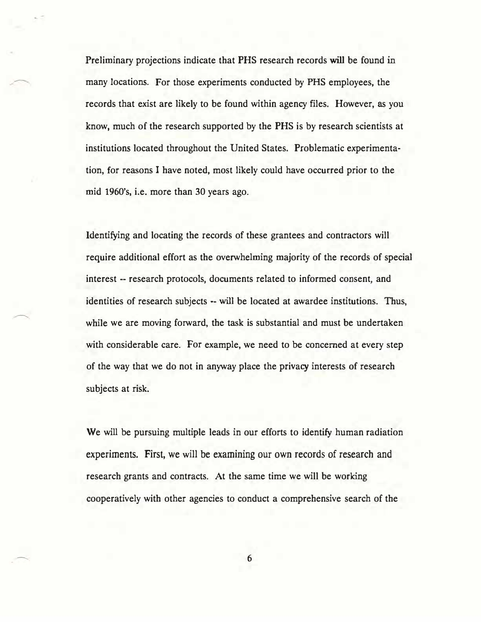Preliminary projections indicate that PHS research records will be found in many locations. For those experiments conducted by PHS employees. the records that exist are likely to be found within agency files. However, as you know, much of the research supported by the PHS is by research scientists at institutions located throughout the United States. Problematic experimentation, for reasons I have noted. most likely could have occurred prior to the mid 1960's, i.e. more than 30 years ago.

Identifying and locating the records of these grantees and contractors will require additional effort as the overwhelming majority of the records of special interest -- research protocols, documents related to informed consent, and identities of research subjects -- will be located at awardee institutions. Thus, while we are moving forward, the task is substantial and must be undertaken with considerable care. For example, we need to be concerned at every step of the way that we do not in anyway place the privacy interests of research subjects at risk.

We will be pursuing multiple leads in our efforts to identify human radiation experiments. First, we will be examining our own records of research and research grants and contracts. At the same time we will be working cooperatively with other agencies to conduct a comprehensive search of the